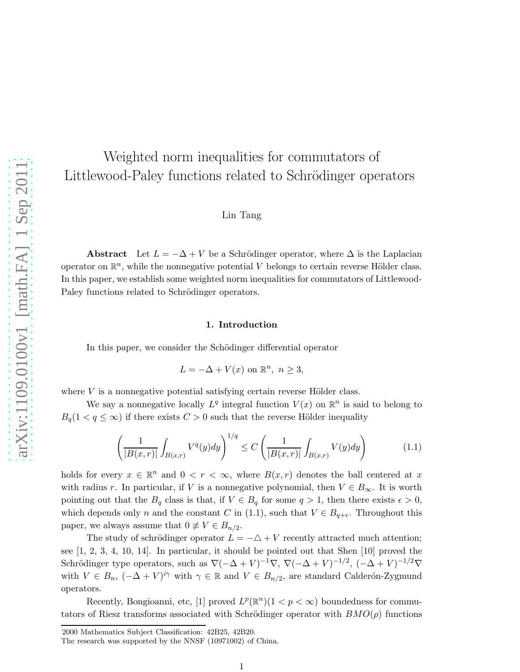# Weighted norm inequalities for commutators of Littlewood-Paley functions related to Schrödinger operators

## Lin Tang

Abstract Let  $L = -\Delta + V$  be a Schrödinger operator, where  $\Delta$  is the Laplacian operator on  $\mathbb{R}^n$ , while the nonnegative potential V belongs to certain reverse Hölder class. In this paper, we establish some weighted norm inequalities for commutators of Littlewood-Paley functions related to Schrödinger operators.

#### 1. Introduction

In this paper, we consider the Schödinger differential operator

$$
L = -\Delta + V(x) \text{ on } \mathbb{R}^n, n \ge 3,
$$

where  $V$  is a nonnegative potential satisfying certain reverse Hölder class.

We say a nonnegative locally  $L^q$  integral function  $V(x)$  on  $\mathbb{R}^n$  is said to belong to  $B_q(1 < q \leq \infty)$  if there exists  $C > 0$  such that the reverse Hölder inequality

$$
\left(\frac{1}{|B(x,r)|}\int_{B(x,r)}V^q(y)dy\right)^{1/q} \le C\left(\frac{1}{|B(x,r)|}\int_{B(x,r)}V(y)dy\right) \tag{1.1}
$$

holds for every  $x \in \mathbb{R}^n$  and  $0 < r < \infty$ , where  $B(x,r)$  denotes the ball centered at x with radius r. In particular, if V is a nonnegative polynomial, then  $V \in B_{\infty}$ . It is worth pointing out that the  $B_q$  class is that, if  $V \in B_q$  for some  $q > 1$ , then there exists  $\epsilon > 0$ , which depends only n and the constant C in (1.1), such that  $V \in B_{q+\epsilon}$ . Throughout this paper, we always assume that  $0 \neq V \in B_{n/2}$ .

The study of schrödinger operator  $L = -\Delta + V$  recently attracted much attention; see [1, 2, 3, 4, 10, 14]. In particular, it should be pointed out that Shen [10] proved the Schrödinger type operators, such as  $\nabla(-\Delta + V)^{-1}\nabla$ ,  $\nabla(-\Delta + V)^{-1/2}$ ,  $(-\Delta + V)^{-1/2}\nabla$ with  $V \in B_n$ ,  $(-\Delta + V)^{i\gamma}$  with  $\gamma \in \mathbb{R}$  and  $V \in B_{n/2}$ , are standard Calderón-Zygmund operators.

Recently, Bongioanni, etc, [1] proved  $L^p(\mathbb{R}^n)(1 < p < \infty)$  boundedness for commutators of Riesz transforms associated with Schrödinger operator with  $BMO(\rho)$  functions

<sup>2000</sup> Mathematics Subject Classification: 42B25, 42B20.

The research was supported by the NNSF (10971002) of China.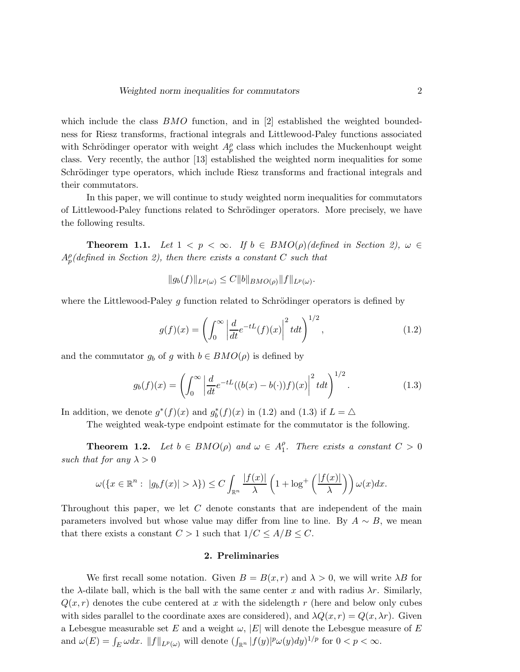which include the class  $BMO$  function, and in [2] established the weighted boundedness for Riesz transforms, fractional integrals and Littlewood-Paley functions associated with Schrödinger operator with weight  $A_p^{\rho}$  class which includes the Muckenhoupt weight class. Very recently, the author [13] established the weighted norm inequalities for some Schrödinger type operators, which include Riesz transforms and fractional integrals and their commutators.

In this paper, we will continue to study weighted norm inequalities for commutators of Littlewood-Paley functions related to Schrödinger operators. More precisely, we have the following results.

**Theorem 1.1.** Let  $1 < p < \infty$ . If  $b \in BMO(\rho)(defined \text{ in Section 2}), \omega \in$  $A_p^{\rho}$ (defined in Section 2), then there exists a constant C such that

$$
||g_b(f)||_{L^p(\omega)} \leq C||b||_{BMO(\rho)}||f||_{L^p(\omega)}.
$$

where the Littlewood-Paley g function related to Schrödinger operators is defined by

$$
g(f)(x) = \left(\int_0^\infty \left|\frac{d}{dt}e^{-tL}(f)(x)\right|^2 t dt\right)^{1/2},\tag{1.2}
$$

and the commutator  $g_b$  of g with  $b \in BMO(\rho)$  is defined by

$$
g_b(f)(x) = \left(\int_0^\infty \left|\frac{d}{dt}e^{-tL}((b(x)-b(\cdot))f)(x)\right|^2 t dt\right)^{1/2}.
$$
 (1.3)

In addition, we denote  $g^*(f)(x)$  and  $g_b^*(f)(x)$  in (1.2) and (1.3) if  $L = \triangle$ 

The weighted weak-type endpoint estimate for the commutator is the following.

**Theorem 1.2.** Let  $b \in BMO(\rho)$  and  $\omega \in A_1^{\rho}$  $_{1}^{\rho}$ . There exists a constant  $C > 0$ such that for any  $\lambda > 0$ 

$$
\omega(\lbrace x \in \mathbb{R}^n : \ |g_b f(x)| > \lambda \rbrace) \leq C \int_{\mathbb{R}^n} \frac{|f(x)|}{\lambda} \left(1 + \log^+ \left(\frac{|f(x)|}{\lambda}\right)\right) \omega(x) dx.
$$

Throughout this paper, we let C denote constants that are independent of the main parameters involved but whose value may differ from line to line. By  $A \sim B$ , we mean that there exists a constant  $C > 1$  such that  $1/C \leq A/B \leq C$ .

#### 2. Preliminaries

We first recall some notation. Given  $B = B(x, r)$  and  $\lambda > 0$ , we will write  $\lambda B$  for the  $\lambda$ -dilate ball, which is the ball with the same center x and with radius  $\lambda r$ . Similarly,  $Q(x, r)$  denotes the cube centered at x with the sidelength r (here and below only cubes with sides parallel to the coordinate axes are considered), and  $\lambda Q(x, r) = Q(x, \lambda r)$ . Given a Lebesgue measurable set E and a weight  $\omega$ , |E| will denote the Lebesgue measure of E and  $\omega(E) = \int_E \omega dx$ .  $||f||_{L^p(\omega)}$  will denote  $(\int_{\mathbb{R}^n} |f(y)|^p \omega(y) dy)^{1/p}$  for  $0 < p < \infty$ .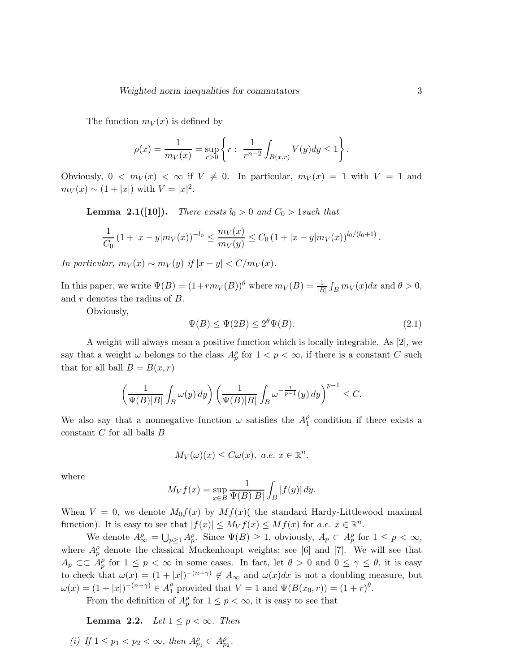The function  $m_V(x)$  is defined by

$$
\rho(x) = \frac{1}{m_V(x)} = \sup_{r>0} \left\{ r : \frac{1}{r^{n-2}} \int_{B(x,r)} V(y) dy \le 1 \right\}.
$$

Obviously,  $0 < m_V(x) < \infty$  if  $V \neq 0$ . In particular,  $m_V(x) = 1$  with  $V = 1$  and  $m_V(x) \sim (1+|x|)$  with  $V = |x|^2$ .

**Lemma 2.1([10]).** There exists  $l_0 > 0$  and  $C_0 > 1$  such that

$$
\frac{1}{C_0} \left( 1 + |x - y| m_V(x) \right)^{-l_0} \le \frac{m_V(x)}{m_V(y)} \le C_0 \left( 1 + |x - y| m_V(x) \right)^{l_0/(l_0+1)}
$$

In particular,  $m_V(x) \sim m_V(y)$  if  $|x - y| < C/m_V(x)$ .

In this paper, we write  $\Psi(B) = (1 + rm_V(B))^{\theta}$  where  $m_V(B) = \frac{1}{|B|}$  $\int_B m_V(x)dx$  and  $\theta > 0$ , and  $r$  denotes the radius of  $B$ .

Obviously,

$$
\Psi(B) \le \Psi(2B) \le 2^{\theta} \Psi(B). \tag{2.1}
$$

A weight will always mean a positive function which is locally integrable. As [2], we say that a weight  $\omega$  belongs to the class  $A_p^{\rho}$  for  $1 < p < \infty$ , if there is a constant C such that for all ball  $B = B(x, r)$ 

$$
\left(\frac{1}{\Psi(B)|B|}\int_B \omega(y)\,dy\right)\left(\frac{1}{\Psi(B)|B|}\int_B \omega^{-\frac{1}{p-1}}(y)\,dy\right)^{p-1}\leq C.
$$

We also say that a nonnegative function  $\omega$  satisfies the  $A_1^{\rho}$  $\int_{1}^{\rho}$  condition if there exists a constant  $C$  for all balls  $B$ 

$$
M_V(\omega)(x) \leq C\omega(x), \ a.e. \ x \in \mathbb{R}^n.
$$

where

$$
M_V f(x) = \sup_{x \in B} \frac{1}{\Psi(B)|B|} \int_B |f(y)| dy.
$$

When  $V = 0$ , we denote  $M_0 f(x)$  by  $Mf(x)$  the standard Hardy-Littlewood maximal function). It is easy to see that  $|f(x)| \leq M_V f(x) \leq Mf(x)$  for  $a.e. x \in \mathbb{R}^n$ .

We denote  $A^{\rho}_{\infty} = \bigcup_{p\geq 1} A^{\rho}_p$ . Since  $\Psi(B) \geq 1$ , obviously,  $A_p \subset A^{\rho}_p$  for  $1 \leq p < \infty$ , where  $A_p^{\rho}$  denote the classical Muckenhoupt weights; see [6] and [7]. We will see that  $A_p \subset\subset A_p^{\rho}$  for  $1 \leq p < \infty$  in some cases. In fact, let  $\theta > 0$  and  $0 \leq \gamma \leq \theta$ , it is easy to check that  $\omega(x) = (1 + |x|)^{-(n+\gamma)} \notin A_{\infty}$  and  $\omega(x)dx$  is not a doubling measure, but  $\omega(x) = (1+|x|)^{-(n+\gamma)} \in A_1^{\rho}$  provided that  $V = 1$  and  $\Psi(B(x_0, r)) = (1+r)^{\theta}$ .

From the definition of  $A_p^{\rho}$  for  $1 \leq p < \infty$ , it is easy to see that

Lemma 2.2. Let  $1 \leq p < \infty$ . Then

(i) If  $1 \leq p_1 < p_2 < \infty$ , then  $A_{p_1}^{\rho} \subset A_{p_2}^{\rho}$ .

.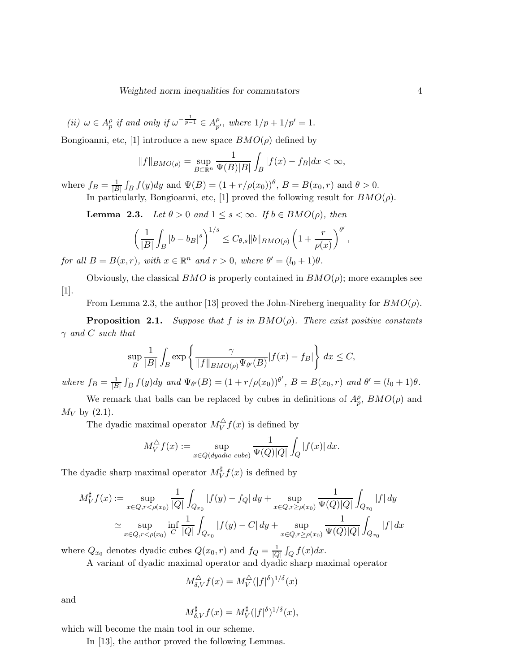(ii)  $\omega \in A_p^{\rho}$  if and only if  $\omega^{-\frac{1}{p-1}} \in A_p^{\rho}$  $_{p'}^{\rho}$ , where  $1/p+1/p'=1$ .

Bongioanni, etc, [1] introduce a new space  $BMO(\rho)$  defined by

$$
||f||_{BMO(\rho)} = \sup_{B \subset \mathbb{R}^n} \frac{1}{\Psi(B)|B|} \int_B |f(x) - f_B| dx < \infty,
$$

where  $f_B = \frac{1}{|B|}$  $\int_B f(y) dy$  and  $\Psi(B) = (1 + r/\rho(x_0))^{\theta}, B = B(x_0, r)$  and  $\theta > 0$ .

In particularly, Bongioanni, etc, [1] proved the following result for  $BMO(\rho)$ .

**Lemma 2.3.** Let  $\theta > 0$  and  $1 \leq s < \infty$ . If  $b \in BMO(\rho)$ , then

$$
\left(\frac{1}{|B|}\int_B |b-b_B|^s\right)^{1/s} \leq C_{\theta,s} \|b\|_{BMO(\rho)} \left(1+\frac{r}{\rho(x)}\right)^{\theta'},
$$

for all  $B = B(x, r)$ , with  $x \in \mathbb{R}^n$  and  $r > 0$ , where  $\theta' = (l_0 + 1)\theta$ .

Obviously, the classical  $BMO$  is properly contained in  $BMO(\rho)$ ; more examples see [1].

From Lemma 2.3, the author [13] proved the John-Nireberg inequality for  $BMO(\rho)$ .

**Proposition 2.1.** Suppose that f is in  $BMO(\rho)$ . There exist positive constants  $\gamma$  and C such that

$$
\sup_{B} \frac{1}{|B|} \int_{B} \exp \left\{ \frac{\gamma}{\|f\|_{BMO(\rho)} \Psi_{\theta'}(B)} |f(x) - f_B| \right\} dx \le C,
$$

where  $f_B = \frac{1}{|B|}$  $|B|$  $\int_B f(y) dy$  and  $\Psi_{\theta'}(B) = (1 + r/\rho(x_0))^{\theta'}, B = B(x_0, r)$  and  $\theta' = (l_0 + 1)\theta$ .

We remark that balls can be replaced by cubes in definitions of  $A_p^{\rho}$ ,  $BMO(\rho)$  and  $M_V$  by (2.1).

The dyadic maximal operator  $M_V^{\triangle}(x)$  is defined by

$$
M_V^{\triangle} f(x) := \sup_{x \in Q(dyadic \ cube)} \frac{1}{\Psi(Q)|Q|} \int_Q |f(x)| dx.
$$

The dyadic sharp maximal operator  $M_V^{\sharp} f(x)$  is defined by

$$
M_V^{\sharp} f(x) := \sup_{x \in Q, r < \rho(x_0)} \frac{1}{|Q|} \int_{Q_{x_0}} |f(y) - f_Q| \, dy + \sup_{x \in Q, r \ge \rho(x_0)} \frac{1}{\Psi(Q)|Q|} \int_{Q_{x_0}} |f| \, dy
$$
\n
$$
\simeq \sup_{x \in Q, r < \rho(x_0)} \inf_{C} \frac{1}{|Q|} \int_{Q_{x_0}} |f(y) - C| \, dy + \sup_{x \in Q, r \ge \rho(x_0)} \frac{1}{\Psi(Q)|Q|} \int_{Q_{x_0}} |f| \, dx
$$

where  $Q_{x_0}$  denotes dyadic cubes  $Q(x_0, r)$  and  $f_Q = \frac{1}{|Q|}$  $|Q|$  $\int_Q f(x) dx$ .

A variant of dyadic maximal operator and dyadic sharp maximal operator

$$
M^{\triangle}_{\delta,V} f(x) = M^{\triangle}_V (|f|^{\delta})^{1/\delta}(x)
$$

and

$$
M_{\delta,V}^{\sharp}f(x) = M_V^{\sharp}(|f|^{\delta})^{1/\delta}(x),
$$

which will become the main tool in our scheme.

In [13], the author proved the following Lemmas.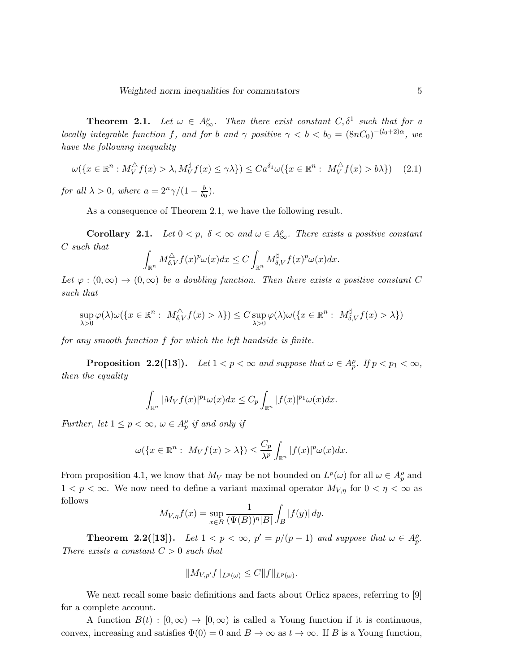**Theorem 2.1.** Let  $\omega \in A^{\rho}_{\infty}$ . Then there exist constant  $C, \delta^1$  such that for a locally integrable function f, and for b and  $\gamma$  positive  $\gamma < b < b_0 = (8nC_0)^{-(l_0+2)\alpha}$ , we have the following inequality

$$
\omega(\lbrace x \in \mathbb{R}^n : M_V^{\triangle} f(x) > \lambda, M_V^{\sharp} f(x) \le \gamma \lambda \rbrace) \le C a^{\delta_1} \omega(\lbrace x \in \mathbb{R}^n : M_V^{\triangle} f(x) > b \lambda \rbrace)
$$
(2.1)

for all  $\lambda > 0$ , where  $a = 2^n \gamma/(1 - \frac{b}{b_0})$ .

As a consequence of Theorem 2.1, we have the following result.

**Corollary 2.1.** Let  $0 < p$ ,  $\delta < \infty$  and  $\omega \in A^{\rho}_{\infty}$ . There exists a positive constant C such that

$$
\int_{\mathbb{R}^n} M_{\delta,V}^{\triangle} f(x)^p \omega(x) dx \le C \int_{\mathbb{R}^n} M_{\delta,V}^{\sharp} f(x)^p \omega(x) dx.
$$

Let  $\varphi : (0,\infty) \to (0,\infty)$  be a doubling function. Then there exists a positive constant C such that

$$
\sup_{\lambda>0} \varphi(\lambda)\omega(\{x\in\mathbb{R}^n:\ M_{\delta,V}^{\triangle}f(x)>\lambda\})\leq C \sup_{\lambda>0} \varphi(\lambda)\omega(\{x\in\mathbb{R}^n:\ M_{\delta,V}^{\sharp}f(x)>\lambda\})
$$

for any smooth function f for which the left handside is finite.

**Proposition 2.2([13]).** Let  $1 < p < \infty$  and suppose that  $\omega \in A_p^{\rho}$ . If  $p < p_1 < \infty$ , then the equality

$$
\int_{\mathbb{R}^n} |M_V f(x)|^{p_1} \omega(x) dx \leq C_p \int_{\mathbb{R}^n} |f(x)|^{p_1} \omega(x) dx.
$$

Further, let  $1 \leq p < \infty$ ,  $\omega \in A_p^{\rho}$  if and only if

$$
\omega(\lbrace x \in \mathbb{R}^n : M_V f(x) > \lambda \rbrace) \leq \frac{C_p}{\lambda^p} \int_{\mathbb{R}^n} |f(x)|^p \omega(x) dx.
$$

From proposition 4.1, we know that  $M_V$  may be not bounded on  $L^p(\omega)$  for all  $\omega \in A_p^{\rho}$  and  $1 < p < \infty$ . We now need to define a variant maximal operator  $M_{V,\eta}$  for  $0 < \eta < \infty$  as follows

$$
M_{V,\eta}f(x) = \sup_{x \in B} \frac{1}{(\Psi(B))^{\eta}|B|} \int_B |f(y)| dy.
$$

**Theorem 2.2([13]).** Let  $1 < p < \infty$ ,  $p' = p/(p-1)$  and suppose that  $\omega \in A_p^{\rho}$ . There exists a constant  $C > 0$  such that

$$
||M_{V,p'}f||_{L^p(\omega)} \leq C||f||_{L^p(\omega)}.
$$

We next recall some basic definitions and facts about Orlicz spaces, referring to [9] for a complete account.

A function  $B(t) : [0, \infty) \to [0, \infty)$  is called a Young function if it is continuous, convex, increasing and satisfies  $\Phi(0) = 0$  and  $B \to \infty$  as  $t \to \infty$ . If B is a Young function,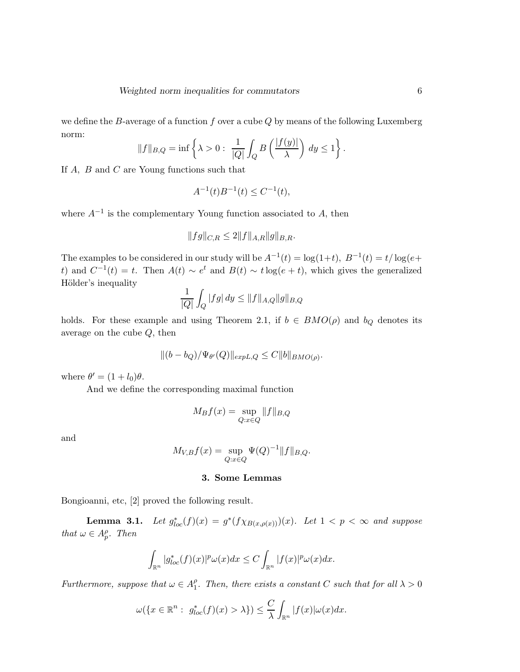we define the B-average of a function f over a cube  $Q$  by means of the following Luxemberg norm:

$$
||f||_{B,Q} = \inf \left\{ \lambda > 0 : \frac{1}{|Q|} \int_Q B\left(\frac{|f(y)|}{\lambda}\right) dy \le 1 \right\}.
$$

If A, B and C are Young functions such that

$$
A^{-1}(t)B^{-1}(t) \le C^{-1}(t),
$$

where  $A^{-1}$  is the complementary Young function associated to A, then

$$
||fg||_{C,R} \le 2||f||_{A,R}||g||_{B,R}.
$$

The examples to be considered in our study will be  $A^{-1}(t) = \log(1+t)$ ,  $B^{-1}(t) = t/\log(e+t)$ t) and  $C^{-1}(t) = t$ . Then  $A(t) \sim e^t$  and  $B(t) \sim t \log(e + t)$ , which gives the generalized Hölder's inequality

$$
\frac{1}{|Q|} \int_Q |fg| \, dy \le \|f\|_{A,Q} \|g\|_{B,Q}
$$

holds. For these example and using Theorem 2.1, if  $b \in BMO(\rho)$  and  $b_Q$  denotes its average on the cube Q, then

$$
||(b - b_Q)/\Psi_{\theta'}(Q)||_{expL,Q} \leq C||b||_{BMO(\rho)}.
$$

where  $\theta' = (1 + l_0)\theta$ .

And we define the corresponding maximal function

$$
M_B f(x) = \sup_{Q: x \in Q} ||f||_{B,Q}
$$

and

$$
M_{V,B}f(x) = \sup_{Q:x \in Q} \Psi(Q)^{-1} ||f||_{B,Q}.
$$

### 3. Some Lemmas

Bongioanni, etc, [2] proved the following result.

**Lemma 3.1.** Let  $g_{loc}^*(f)(x) = g^*(f \chi_{B(x,\rho(x))})(x)$ . Let  $1 < p < \infty$  and suppose that  $\omega \in A_p^{\rho}$ . Then

$$
\int_{\mathbb{R}^n} |g_{loc}^*(f)(x)|^p \omega(x) dx \leq C \int_{\mathbb{R}^n} |f(x)|^p \omega(x) dx.
$$

Furthermore, suppose that  $\omega \in A_1^{\rho}$  $l_1^{\rho}$ . Then, there exists a constant C such that for all  $\lambda > 0$ 

$$
\omega(\lbrace x \in \mathbb{R}^n : g_{loc}^*(f)(x) > \lambda \rbrace) \leq \frac{C}{\lambda} \int_{\mathbb{R}^n} |f(x)| \omega(x) dx.
$$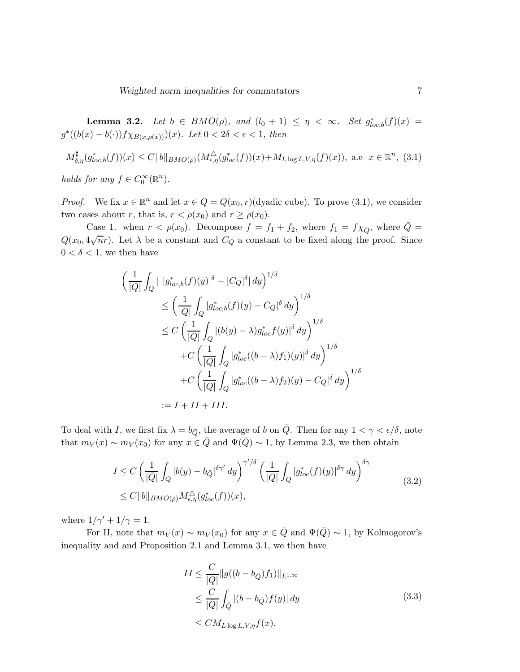**Lemma 3.2.** Let  $b \in BMO(\rho)$ , and  $(l_0 + 1) \leq \eta < \infty$ . Set  $g_{loc,b}^*(f)(x) =$  $g^*((b(x) - b(\cdot))f \chi_{B(x,\rho(x))})(x)$ . Let  $0 < 2\delta < \epsilon < 1$ , then

$$
M^{\sharp}_{\delta,\eta}(g_{loc,b}^*(f))(x) \le C \|b\|_{BMO(\rho)} (M^{\triangle}_{\epsilon,\eta}(g_{loc}^*(f))(x) + M_{L \log L, V, \eta}(f)(x)), \text{ a.e } x \in \mathbb{R}^n, (3.1)
$$

holds for any  $f \in C_0^{\infty}(\mathbb{R}^n)$ .

*Proof.* We fix  $x \in \mathbb{R}^n$  and let  $x \in Q = Q(x_0, r)$  (dyadic cube). To prove (3.1), we consider two cases about r, that is,  $r < \rho(x_0)$  and  $r \geq \rho(x_0)$ .

Case 1. when  $r < \rho(x_0)$ . Decompose  $f = f_1 + f_2$ , where  $f_1 = f \chi_{\bar{Q}}$ , where  $\bar{Q} =$  $Q(x_0, 4\sqrt{n}r)$ . Let  $\lambda$  be a constant and  $C_Q$  a constant to be fixed along the proof. Since  $0 < \delta < 1$ , we then have

$$
\left(\frac{1}{|Q|}\int_{Q}|\left|g_{loc,b}^{*}(f)(y)\right|^{\delta}-|C_{Q}|^{\delta}|dy\right)^{1/\delta}
$$
\n
$$
\leq \left(\frac{1}{|Q|}\int_{Q}|g_{loc,b}^{*}(f)(y)-C_{Q}|^{\delta}dy\right)^{1/\delta}
$$
\n
$$
\leq C\left(\frac{1}{|Q|}\int_{Q}|(b(y)-\lambda)g_{loc}^{*}f(y)|^{\delta}dy\right)^{1/\delta}
$$
\n
$$
+C\left(\frac{1}{|Q|}\int_{Q}|g_{loc}^{*}((b-\lambda)f_{1})(y)|^{\delta}dy\right)^{1/\delta}
$$
\n
$$
+C\left(\frac{1}{|Q|}\int_{Q}|g_{loc}^{*}((b-\lambda)f_{2})(y)-C_{Q}|^{\delta}dy\right)^{1/\delta}
$$
\n
$$
:=I+II+III.
$$

To deal with I, we first fix  $\lambda = b_{\overline{Q}}$ , the average of b on  $\overline{Q}$ . Then for any  $1 < \gamma < \epsilon/\delta$ , note that  $m_V(x) \sim m_V(x_0)$  for any  $x \in \overline{Q}$  and  $\Psi(\overline{Q}) \sim 1$ , by Lemma 2.3, we then obtain

$$
I \leq C \left( \frac{1}{|\overline{Q}|} \int_{\overline{Q}} |b(y) - b_{\overline{Q}}|^{5\gamma'} dy \right)^{\gamma'/\delta} \left( \frac{1}{|Q|} \int_{Q} |g_{loc}^*(f)(y)|^{5\gamma} dy \right)^{5\gamma}
$$
  

$$
\leq C \|b\|_{BMO(\rho)} M_{\epsilon,\eta}^{\triangle}(g_{loc}^*(f))(x), \tag{3.2}
$$

where  $1/\gamma' + 1/\gamma = 1$ .

For II, note that  $m_V(x) \sim m_V(x_0)$  for any  $x \in \overline{Q}$  and  $\Psi(\overline{Q}) \sim 1$ , by Kolmogorov's inequality and and Proposition 2.1 and Lemma 3.1, we then have

$$
II \leq \frac{C}{|Q|} \|g((b - b_{\bar{Q}})f_1)\|_{L^{1,\infty}}
$$
  
\n
$$
\leq \frac{C}{|\bar{Q}|} \int_{\bar{Q}} |(b - b_{\bar{Q}})f(y)| dy
$$
  
\n
$$
\leq CM_{L \log L, V, \eta} f(x).
$$
\n(3.3)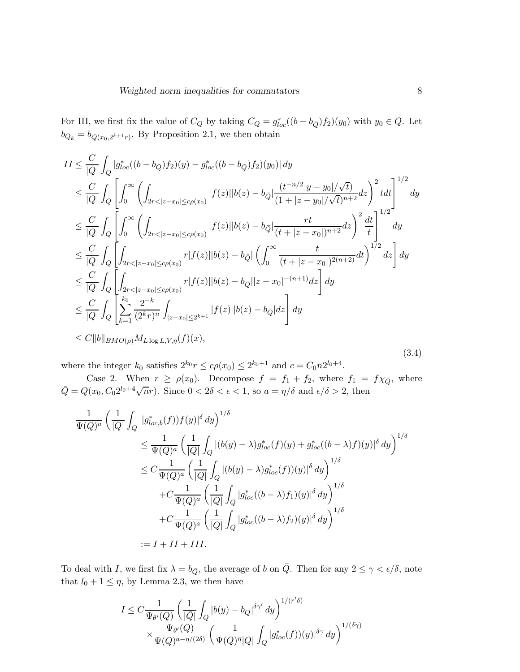For III, we first fix the value of  $C_Q$  by taking  $C_Q = g_{loc}^*((b - b_{\bar{Q}}) f_2)(y_0)$  with  $y_0 \in Q$ . Let  $b_{Q_k} = b_{Q(x_0, 2^{k+1}r)}$ . By Proposition 2.1, we then obtain

$$
II \leq \frac{C}{|Q|} \int_{Q} |g_{loc}^{*}((b - b_{\bar{Q}}) f_{2})(y) - g_{loc}^{*}((b - b_{\bar{Q}}) f_{2})(y_{0})| dy
$$
  
\n
$$
\leq \frac{C}{|Q|} \int_{Q} \left[ \int_{0}^{\infty} \left( \int_{2r < |z - x_{0}| \leq c\rho(x_{0})} |f(z)||b(z) - b_{\bar{Q}}| \frac{(t^{-n/2}|y - y_{0}|/\sqrt{t})}{(1 + |z - y_{0}|/\sqrt{t})^{n+2}} dz \right)^{2} t dt \right]^{1/2} dy
$$
  
\n
$$
\leq \frac{C}{|Q|} \int_{Q} \left[ \int_{0}^{\infty} \left( \int_{2r < |z - x_{0}| \leq c\rho(x_{0})} |f(z)||b(z) - b_{\bar{Q}}| \frac{rt}{(t + |z - x_{0}|)^{n+2}} dz \right)^{2} \frac{dt}{t} \right]^{1/2} dy
$$
  
\n
$$
\leq \frac{C}{|Q|} \int_{Q} \left[ \int_{2r < |z - x_{0}| \leq c\rho(x_{0})} r|f(z)||b(z) - b_{\bar{Q}}| \left( \int_{0}^{\infty} \frac{t}{(t + |z - x_{0}|)^{2(n+2)}} dt \right)^{1/2} dz \right] dy
$$
  
\n
$$
\leq \frac{C}{|Q|} \int_{Q} \left[ \int_{2r < |z - x_{0}| \leq c\rho(x_{0})} r|f(z)||b(z) - b_{\bar{Q}}| |z - x_{0}|^{-(n+1)} dz \right] dy
$$
  
\n
$$
\leq \frac{C}{|Q|} \int_{Q} \left[ \sum_{k=1}^{k_{0}} \frac{2^{-k}}{(2^{k}r)^{n}} \int_{|z - x_{0}| \leq 2^{k+1}} |f(z)||b(z) - b_{\bar{Q}}| dz \right] dy
$$
  
\n
$$
\leq C ||b||_{BMO(\rho)} M_{L \log L, V, \eta}(f)(x), \qquad (3.4)
$$

where the integer  $k_0$  satisfies  $2^{k_0} r \leq c\rho(x_0) \leq 2^{k_0+1}$  and  $c = C_0 n 2^{l_0+4}$ .

Case 2. When  $r \ge \rho(x_0)$ . Decompose  $f = f_1 + f_2$ , where  $f_1 = f \chi_{\bar{Q}}$ , where  $\overline{Q} = Q(x_0, C_0 2^{l_0+4} \sqrt{n}r)$ . Since  $0 < 2\delta < \epsilon < 1$ , so  $a = \eta/\delta$  and  $\epsilon/\delta > 2$ , then

$$
\frac{1}{\Psi(Q)^a} \left( \frac{1}{|Q|} \int_Q |g^*_{loc,b}(f)) f(y)|^{\delta} dy \right)^{1/\delta}
$$
\n
$$
\leq \frac{1}{\Psi(Q)^a} \left( \frac{1}{|Q|} \int_Q |(b(y) - \lambda) g^*_{loc}(f)(y) + g^*_{loc}((b - \lambda) f)(y)|^{\delta} dy \right)^{1/\delta}
$$
\n
$$
\leq C \frac{1}{\Psi(Q)^a} \left( \frac{1}{|Q|} \int_Q |(b(y) - \lambda) g^*_{loc}(f)(y)|^{\delta} dy \right)^{1/\delta}
$$
\n
$$
+ C \frac{1}{\Psi(Q)^a} \left( \frac{1}{|Q|} \int_Q |g^*_{loc}((b - \lambda) f_1)(y)|^{\delta} dy \right)^{1/\delta}
$$
\n
$$
+ C \frac{1}{\Psi(Q)^a} \left( \frac{1}{|Q|} \int_Q |g^*_{loc}((b - \lambda) f_2)(y)|^{\delta} dy \right)^{1/\delta}
$$
\n
$$
:= I + II + III.
$$

To deal with I, we first fix  $\lambda = b_{\overline{Q}}$ , the average of b on  $\overline{Q}$ . Then for any  $2 \le \gamma < \epsilon/\delta$ , note that  $l_0 + 1 \leq \eta$ , by Lemma 2.3, we then have

$$
I \leq C \frac{1}{\Psi_{\theta'}(Q)} \left( \frac{1}{|Q|} \int_Q |b(y) - b_{\bar{Q}}|^{\delta \gamma'} dy \right)^{1/(r'\delta)} \times \frac{\Psi_{\theta'}(Q)}{\Psi(Q)^{a - \eta/(2\delta)}} \left( \frac{1}{\Psi(Q)^{\eta} |Q|} \int_Q |g_{loc}^*(f))(y)|^{\delta \gamma} dy \right)^{1/(\delta \gamma)}
$$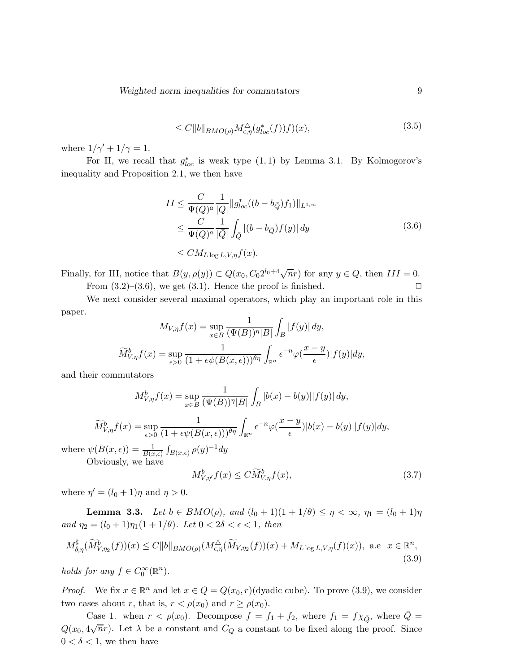$$
\leq C \|b\|_{BMO(\rho)} M^{\triangle}_{\epsilon,\eta}(g_{loc}^*(f))f)(x),\tag{3.5}
$$

where  $1/\gamma' + 1/\gamma = 1$ .

For II, we recall that  $g_{loc}^*$  is weak type  $(1,1)$  by Lemma 3.1. By Kolmogorov's inequality and Proposition 2.1, we then have

$$
II \leq \frac{C}{\Psi(Q)^a} \frac{1}{|Q|} \|g_{loc}^*((b - b_{\bar{Q}})f_1)\|_{L^{1,\infty}}
$$
  
\n
$$
\leq \frac{C}{\Psi(Q)^a} \frac{1}{|\bar{Q}|} \int_{\bar{Q}} |(b - b_{\bar{Q}})f(y)| dy
$$
  
\n
$$
\leq CM_{L \log L, V, \eta} f(x).
$$
\n(3.6)

Finally, for III, notice that  $B(y, \rho(y)) \subset Q(x_0, C_0 2^{l_0+4} \sqrt{n}r)$  for any  $y \in Q$ , then  $III = 0$ . From  $(3.2)$ – $(3.6)$ , we get  $(3.1)$ . Hence the proof is finished.  $\Box$ 

We next consider several maximal operators, which play an important role in this paper.

$$
M_{V,\eta}f(x) = \sup_{x \in B} \frac{1}{(\Psi(B))^{\eta}|B|} \int_B |f(y)| dy,
$$
  

$$
\widetilde{M}_{V,\eta}^b f(x) = \sup_{\epsilon > 0} \frac{1}{(1 + \epsilon \psi(B(x,\epsilon)))^{\theta \eta}} \int_{\mathbb{R}^n} e^{-n} \varphi(\frac{x-y}{\epsilon}) |f(y)| dy,
$$

and their commutators

$$
M_{V,\eta}^b f(x) = \sup_{x \in B} \frac{1}{(\Psi(B))^{\eta} |B|} \int_B |b(x) - b(y)| |f(y)| dy,
$$

$$
\widetilde{M}_{V,\eta}^b f(x) = \sup_{\epsilon > 0} \frac{1}{(1 + \epsilon \psi(B(x,\epsilon)))^{\theta \eta}} \int_{\mathbb{R}^n} \epsilon^{-n} \varphi(\frac{x-y}{\epsilon}) |b(x) - b(y)| |f(y)| dy,
$$

where  $\psi(B(x,\epsilon)) = \frac{1}{B(x,\epsilon)} \int_{B(x,\epsilon)} \rho(y)^{-1} dy$ Obviously, we have

$$
M_{V,\eta'}^b f(x) \le C \widetilde{M}_{V,\eta}^b f(x),\tag{3.7}
$$

where  $\eta' = (l_0 + 1)\eta$  and  $\eta > 0$ .

**Lemma 3.3.** Let  $b \in BMO(\rho)$ , and  $(l_0 + 1)(1 + 1/\theta) \le \eta < \infty$ ,  $\eta_1 = (l_0 + 1)\eta$ and  $\eta_2 = (l_0 + 1)\eta_1(1 + 1/\theta)$ . Let  $0 < 2\delta < \epsilon < 1$ , then

$$
M_{\delta,\eta}^{\sharp}(\widetilde{M}_{V,\eta_2}^b(f))(x) \le C \|b\|_{BMO(\rho)} (M_{\epsilon,\eta}^{\Delta}(\widetilde{M}_{V,\eta_2}(f))(x) + M_{L\log L,V,\eta}(f)(x)), \text{ a.e } x \in \mathbb{R}^n,
$$
\n(3.9)

holds for any  $f \in C_0^{\infty}(\mathbb{R}^n)$ .

*Proof.* We fix  $x \in \mathbb{R}^n$  and let  $x \in Q = Q(x_0, r)$  (dyadic cube). To prove (3.9), we consider two cases about r, that is,  $r < \rho(x_0)$  and  $r \geq \rho(x_0)$ .

Case 1. when  $r < \rho(x_0)$ . Decompose  $f = f_1 + f_2$ , where  $f_1 = f \chi_{\bar{Q}}$ , where  $\bar{Q} =$  $Q(x_0, 4\sqrt{n}r)$ . Let  $\lambda$  be a constant and  $C_Q$  a constant to be fixed along the proof. Since  $0 < \delta < 1$ , we then have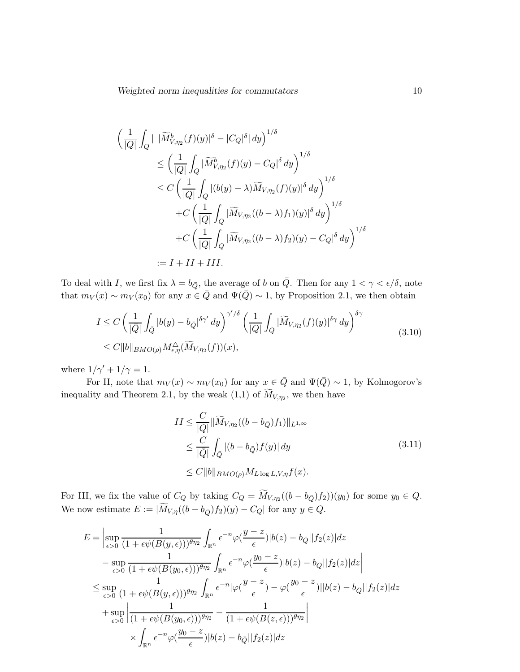$$
\left(\frac{1}{|Q|}\int_{Q}|\left|\widetilde{M}_{V,\eta_{2}}^{b}(f)(y)|^{\delta}-|C_{Q}|^{\delta}| dy\right)^{1/\delta}\right.\n\leq \left(\frac{1}{|Q|}\int_{Q}|\widetilde{M}_{V,\eta_{2}}^{b}(f)(y)-C_{Q}|^{\delta} dy\right)^{1/\delta}\n\leq C\left(\frac{1}{|Q|}\int_{Q}|(b(y)-\lambda)\widetilde{M}_{V,\eta_{2}}(f)(y)|^{\delta} dy\right)^{1/\delta}\n+C\left(\frac{1}{|Q|}\int_{Q}|\widetilde{M}_{V,\eta_{2}}((b-\lambda)f_{1})(y)|^{\delta} dy\right)^{1/\delta}\n+C\left(\frac{1}{|Q|}\int_{Q}|\widetilde{M}_{V,\eta_{2}}((b-\lambda)f_{2})(y)-C_{Q}|^{\delta} dy\right)^{1/\delta}\n:=I+II+III.
$$

To deal with I, we first fix  $\lambda = b_{\overline{Q}}$ , the average of b on  $\overline{Q}$ . Then for any  $1 < \gamma < \epsilon/\delta$ , note that  $m_V(x) \sim m_V(x_0)$  for any  $x \in \overline{Q}$  and  $\Psi(\overline{Q}) \sim 1$ , by Proposition 2.1, we then obtain

$$
I \leq C \left( \frac{1}{|\overline{Q}|} \int_{\overline{Q}} |b(y) - b_{\overline{Q}}|^{5\gamma'} dy \right)^{\gamma'/\delta} \left( \frac{1}{|Q|} \int_{Q} |\widetilde{M}_{V, \eta_2}(f)(y)|^{5\gamma} dy \right)^{\delta \gamma}
$$
  

$$
\leq C \|b\|_{BMO(\rho)} M_{\epsilon, \eta}^{\Delta} (\widetilde{M}_{V, \eta_2}(f))(x), \qquad (3.10)
$$

where  $1/\gamma' + 1/\gamma = 1$ .

For II, note that  $m_V(x) \sim m_V(x_0)$  for any  $x \in \overline{Q}$  and  $\Psi(\overline{Q}) \sim 1$ , by Kolmogorov's inequality and Theorem 2.1, by the weak  $(1,1)$  of  $M_{V,\eta_2}$ , we then have

$$
II \leq \frac{C}{|Q|} \|\widetilde{M}_{V,\eta_2}((b - b_{\bar{Q}})f_1)\|_{L^{1,\infty}}
$$
  
\n
$$
\leq \frac{C}{|\bar{Q}|} \int_{\bar{Q}} |(b - b_{\bar{Q}}) f(y)| dy
$$
  
\n
$$
\leq C \|b\|_{BMO(\rho)} M_{L \log L, V, \eta} f(x).
$$
\n(3.11)

For III, we fix the value of  $C_Q$  by taking  $C_Q = M_{V, \eta_2}((b - b_{\bar{Q}}) f_2)(y_0)$  for some  $y_0 \in Q$ . We now estimate  $E := |\widetilde{M}_{V,\eta}((b - b_{\overline{Q}})f_2)(y) - C_Q|$  for any  $y \in Q$ .

$$
E = \left| \sup_{\epsilon > 0} \frac{1}{(1 + \epsilon \psi(B(y, \epsilon)))^{\theta \eta_2}} \int_{\mathbb{R}^n} \epsilon^{-n} \varphi(\frac{y - z}{\epsilon}) |b(z) - b_{\bar{Q}}||f_2(z)| dz - \sup_{\epsilon > 0} \frac{1}{(1 + \epsilon \psi(B(y_0, \epsilon)))^{\theta \eta_2}} \int_{\mathbb{R}^n} \epsilon^{-n} \varphi(\frac{y_0 - z}{\epsilon}) |b(z) - b_{\bar{Q}}||f_2(z)| dz \right|
$$
  
\n
$$
\leq \sup_{\epsilon > 0} \frac{1}{(1 + \epsilon \psi(B(y, \epsilon)))^{\theta \eta_2}} \int_{\mathbb{R}^n} \epsilon^{-n} |\varphi(\frac{y - z}{\epsilon}) - \varphi(\frac{y_0 - z}{\epsilon})||b(z) - b_{\bar{Q}}||f_2(z)| dz
$$
  
\n
$$
+ \sup_{\epsilon > 0} \left| \frac{1}{(1 + \epsilon \psi(B(y_0, \epsilon)))^{\theta \eta_2}} - \frac{1}{(1 + \epsilon \psi(B(z, \epsilon)))^{\theta \eta_2}} \right|
$$
  
\n
$$
\times \int_{\mathbb{R}^n} \epsilon^{-n} \varphi(\frac{y_0 - z}{\epsilon}) |b(z) - b_{\bar{Q}}||f_2(z)| dz
$$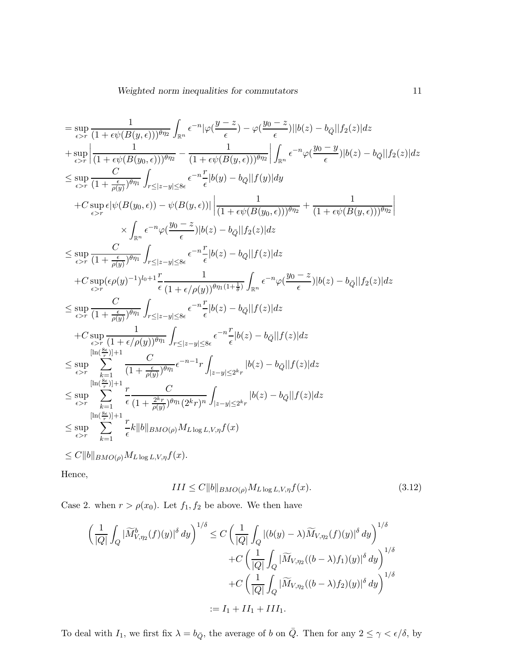$$
\begin{split} &\qquad \qquad =\sup_{\epsilon>r} \frac{1}{(1+\epsilon\psi(B(y,\epsilon)))^{\theta\eta_2}} \int_{\mathbb{R}^n} e^{-n} |\varphi(\frac{y-z}{\epsilon})-\varphi(\frac{y_0-z}{\epsilon})||b(z)-b_Q||f_2(z)|dz \\ &+\sup_{\epsilon>r} \left|\frac{1}{(1+\epsilon\psi(B(y_0,\epsilon)))^{\theta\eta_2}}-\frac{1}{(1+\epsilon\psi(B(y,\epsilon)))^{\theta\eta_2}}\right| \int_{\mathbb{R}^n} e^{-n}\varphi(\frac{y_0-y}{\epsilon})|b(z)-b_Q||f_2(z)|dz \\ &\leq \sup_{\epsilon>r} \frac{C}{(1+\frac{\epsilon}{\rho(y)})^{\theta\eta_1}} \int_{r\leq |z-y|\leq 8\epsilon} e^{-n}\frac{r}{\epsilon} |b(y)-b_Q||f(y)|dy \\ &+C \sup_{\epsilon>r} \epsilon |\psi(B(y_0,\epsilon))-\psi(B(y,\epsilon))|\left|\frac{1}{(1+\epsilon\psi(B(y_0,\epsilon)))^{\theta\eta_2}}+\frac{1}{(1+\epsilon\psi(B(y,\epsilon)))^{\theta\eta_2}}\right| \\ &\qquad \qquad \times \int_{\mathbb{R}^n} e^{-n}\varphi(\frac{y_0-z}{\epsilon})|b(z)-b_Q||f_2(z)|dz \\ &\leq \sup_{\epsilon>r} \frac{C}{(1+\frac{\epsilon}{\rho(y)})^{\theta\eta_1}} \int_{r\leq |z-y|\leq 8\epsilon} e^{-n}\frac{r}{\epsilon} |b(z)-b_Q||f(z)|dz \\ &+C \sup_{\epsilon>r} \frac{C}{(1+\frac{\epsilon}{\rho(y)})^{\theta\eta_1}} \int_{r\leq |z-y|\leq 8\epsilon} e^{-n}\frac{r}{\epsilon} |b(z)-b_Q||f(z)|dz \\ &\leq \sup_{\epsilon>r} \frac{C}{(1+\frac{\epsilon}{\rho(y)})^{\theta\eta_1}} \int_{r\leq |z-y|\leq 8\epsilon} e^{-n}\frac{r}{\epsilon} |b(z)-b_Q||f(z)|dz \\ &+C \sup_{\epsilon>r} \frac{C}{(1+\frac{\epsilon}{\rho(y)})^{\theta\eta_1}} \int_{r\leq |z-y|\leq 8\epsilon} e^{-n}\frac{r}{\epsilon} |b(z)-b_Q||f(z)|dz \\ &\leq \sup_{\epsilon>r} \sum_{k=1} \frac{C}{(1+\frac{\epsilon}{\rho(y)})^{\theta\eta_
$$

Hence,

$$
III \le C \|b\|_{BMO(\rho)} M_{L \log L, V, \eta} f(x). \tag{3.12}
$$

Case 2. when  $r > \rho(x_0)$ . Let  $f_1, f_2$  be above. We then have

$$
\left(\frac{1}{|Q|}\int_{Q}|\widetilde{M}_{V,\eta_2}^b(f)(y)|^{\delta} dy\right)^{1/\delta} \leq C \left(\frac{1}{|Q|}\int_{Q}|(b(y)-\lambda)\widetilde{M}_{V,\eta_2}(f)(y)|^{\delta} dy\right)^{1/\delta} \n+ C \left(\frac{1}{|Q|}\int_{Q}|\widetilde{M}_{V,\eta_2}((b-\lambda)f_1)(y)|^{\delta} dy\right)^{1/\delta} \n+ C \left(\frac{1}{|Q|}\int_{Q}|\widetilde{M}_{V,\eta_2}((b-\lambda)f_2)(y)|^{\delta} dy\right)^{1/\delta} \n:= I_1 + II_1 + III_1.
$$

To deal with  $I_1$ , we first fix  $\lambda = b_{\bar{Q}}$ , the average of b on  $\bar{Q}$ . Then for any  $2 \le \gamma < \epsilon/\delta$ , by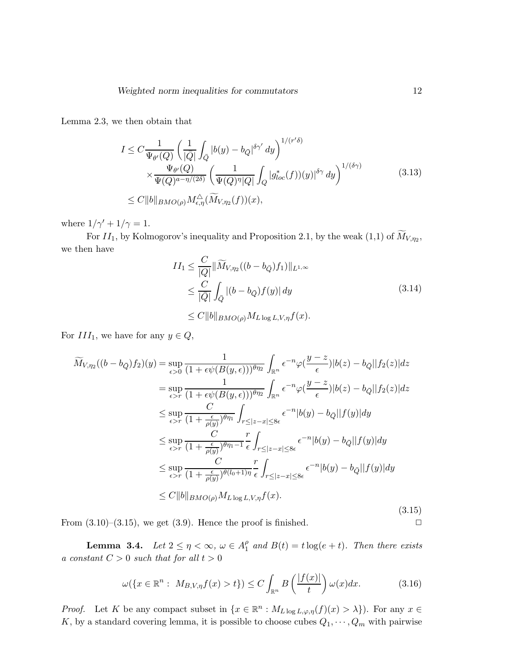Lemma 2.3, we then obtain that

$$
I \leq C \frac{1}{\Psi_{\theta'}(Q)} \left( \frac{1}{|\overline{Q}|} \int_{\overline{Q}} |b(y) - b_{\overline{Q}}|^{\delta \gamma'} dy \right)^{1/(r'\delta)} \times \frac{\Psi_{\theta'}(Q)}{\Psi(Q)^{a - \eta/(2\delta)}} \left( \frac{1}{\Psi(Q)^{\eta} |Q|} \int_{Q} |g_{loc}^*(f))(y)|^{\delta \gamma} dy \right)^{1/(\delta \gamma)} \leq C \|b\|_{BMO(\rho)} M_{\epsilon, \eta}^{\Delta}(\widetilde{M}_{V, \eta_2}(f))(x), \tag{3.13}
$$

where  $1/\gamma' + 1/\gamma = 1$ .

For  $II_1$ , by Kolmogorov's inequality and Proposition 2.1, by the weak  $(1,1)$  of  $M_{V,\eta_2}$ , we then have

$$
II_1 \leq \frac{C}{|Q|} \|\widetilde{M}_{V,\eta_2}((b - b_{\bar{Q}})f_1)\|_{L^{1,\infty}}
$$
  
\n
$$
\leq \frac{C}{|\bar{Q}|} \int_{\bar{Q}} |(b - b_{\bar{Q}})f(y)| dy
$$
  
\n
$$
\leq C \|b\|_{BMO(\rho)} M_{L \log L, V, \eta} f(x).
$$
\n(3.14)

For  $III_1$ , we have for any  $y \in Q$ ,

$$
\widetilde{M}_{V,\eta_2}((b-b_{\bar{Q}})f_2)(y) = \sup_{\epsilon>0} \frac{1}{(1+\epsilon\psi(B(y,\epsilon)))^{\theta\eta_2}} \int_{\mathbb{R}^n} \epsilon^{-n} \varphi(\frac{y-z}{\epsilon}) |b(z)-b_{\bar{Q}}||f_2(z)| dz \n= \sup_{\epsilon>r} \frac{1}{(1+\epsilon\psi(B(y,\epsilon)))^{\theta\eta_2}} \int_{\mathbb{R}^n} \epsilon^{-n} \varphi(\frac{y-z}{\epsilon}) |b(z)-b_{\bar{Q}}||f_2(z)| dz \n\leq \sup_{\epsilon>r} \frac{C}{(1+\frac{\epsilon}{\rho(y)})^{\theta\eta_1}} \int_{r \leq |z-x| \leq 8\epsilon} \epsilon^{-n} |b(y)-b_{\bar{Q}}||f(y)| dy \n\leq \sup_{\epsilon>r} \frac{C}{(1+\frac{\epsilon}{\rho(y)})^{\theta\eta_1-1}} \frac{r}{\epsilon} \int_{r \leq |z-x| \leq 8\epsilon} \epsilon^{-n} |b(y)-b_{\bar{Q}}||f(y)| dy \n\leq \sup_{\epsilon>r} \frac{C}{(1+\frac{\epsilon}{\rho(y)})^{\theta(l_0+1)\eta}} \frac{r}{\epsilon} \int_{r \leq |z-x| \leq 8\epsilon} \epsilon^{-n} |b(y)-b_{\bar{Q}}||f(y)| dy \n\leq C ||b||_{BMO(\rho)} M_{L \log L, V, \eta} f(x).
$$
\n(3.15)

From  $(3.10)$ – $(3.15)$ , we get  $(3.9)$ . Hence the proof is finished.  $\Box$ 

**Lemma 3.4.** Let  $2 \leq \eta < \infty$ ,  $\omega \in A_1^{\rho}$  $_1^{\rho}$  and  $B(t) = t \log(e + t)$ . Then there exists a constant  $C > 0$  such that for all  $t > 0$ 

$$
\omega(\lbrace x \in \mathbb{R}^n : M_{B,V,\eta}f(x) > t \rbrace) \leq C \int_{\mathbb{R}^n} B\left(\frac{|f(x)|}{t}\right) \omega(x) dx. \tag{3.16}
$$

*Proof.* Let K be any compact subset in  $\{x \in \mathbb{R}^n : M_{L \log L, \varphi, \eta}(f)(x) > \lambda\}$ . For any  $x \in$ K, by a standard covering lemma, it is possible to choose cubes  $Q_1, \dots, Q_m$  with pairwise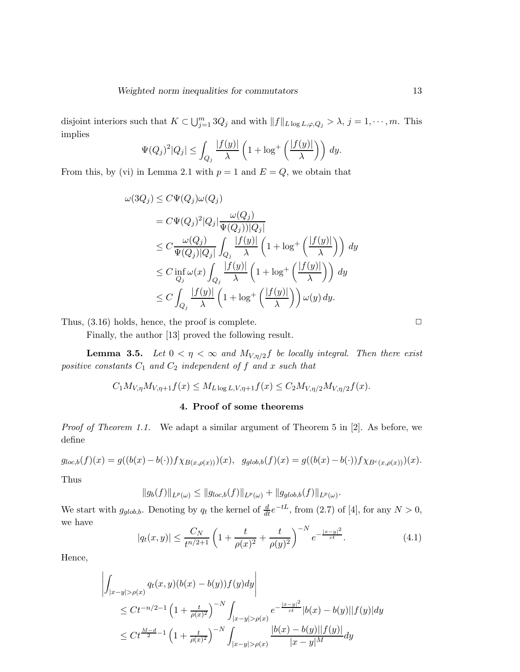disjoint interiors such that  $K \subset \bigcup_{j=1}^m 3Q_j$  and with  $||f||_{L \log L, \varphi, Q_j} > \lambda$ ,  $j = 1, \dots, m$ . This implies

$$
\Psi(Q_j)^2|Q_j| \le \int_{Q_j} \frac{|f(y)|}{\lambda} \left(1 + \log^+\left(\frac{|f(y)|}{\lambda}\right)\right) dy.
$$

From this, by (vi) in Lemma 2.1 with  $p = 1$  and  $E = Q$ , we obtain that

$$
\omega(3Q_j) \leq C\Psi(Q_j)\omega(Q_j)
$$
  
=  $C\Psi(Q_j)^2|Q_j|\frac{\omega(Q_j)}{\Psi(Q_j))|Q_j|}$   
 $\leq C\frac{\omega(Q_j)}{\Psi(Q_j)|Q_j|}\int_{Q_j}\frac{|f(y)|}{\lambda}\left(1+\log^+\left(\frac{|f(y)|}{\lambda}\right)\right)dy$   
 $\leq C\inf_{Q_j}\omega(x)\int_{Q_j}\frac{|f(y)|}{\lambda}\left(1+\log^+\left(\frac{|f(y)|}{\lambda}\right)\right)dy$   
 $\leq C\int_{Q_j}\frac{|f(y)|}{\lambda}\left(1+\log^+\left(\frac{|f(y)|}{\lambda}\right)\right)\omega(y)dy.$ 

Thus,  $(3.16)$  holds, hence, the proof is complete.  $\Box$ 

Finally, the author [13] proved the following result.

**Lemma 3.5.** Let  $0 < \eta < \infty$  and  $M_{V,\eta/2}f$  be locally integral. Then there exist positive constants  $C_1$  and  $C_2$  independent of f and x such that

$$
C_1 M_{V, \eta} M_{V, \eta+1} f(x) \leq M_{L \log L, V, \eta+1} f(x) \leq C_2 M_{V, \eta/2} M_{V, \eta/2} f(x).
$$

### 4. Proof of some theorems

Proof of Theorem 1.1. We adapt a similar argument of Theorem 5 in [2]. As before, we define

$$
g_{loc,b}(f)(x) = g((b(x) - b(\cdot))f\chi_{B(x,\rho(x))})(x), \quad g_{glob,b}(f)(x) = g((b(x) - b(\cdot))f\chi_{B^c(x,\rho(x))})(x).
$$

Thus

$$
||g_b(f)||_{L^p(\omega)} \leq ||g_{loc,b}(f)||_{L^p(\omega)} + ||g_{glob,b}(f)||_{L^p(\omega)}.
$$

We start with  $g_{glob,b}$ . Denoting by  $q_t$  the kernel of  $\frac{d}{dt}e^{-tL}$ , from (2.7) of [4], for any  $N > 0$ , we have

$$
|q_t(x,y)| \le \frac{C_N}{t^{n/2+1}} \left(1 + \frac{t}{\rho(x)^2} + \frac{t}{\rho(y)^2}\right)^{-N} e^{-\frac{|x-y|^2}{ct}}.
$$
 (4.1)

Hence,

$$
\left| \int_{|x-y| > \rho(x)} q_t(x,y)(b(x) - b(y))f(y)dy \right|
$$
  
\n
$$
\leq Ct^{-n/2-1} \left(1 + \frac{t}{\rho(x)^2}\right)^{-N} \int_{|x-y| > \rho(x)} e^{-\frac{|x-y|^2}{ct}} |b(x) - b(y)| |f(y)| dy
$$
  
\n
$$
\leq Ct^{\frac{M-d}{2}-1} \left(1 + \frac{t}{\rho(x)^2}\right)^{-N} \int_{|x-y| > \rho(x)} \frac{|b(x) - b(y)| |f(y)|}{|x-y|^M} dy
$$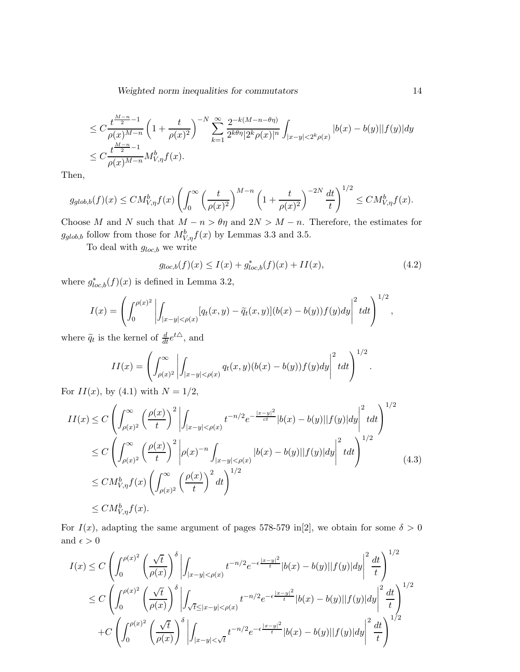$$
\leq C \frac{t^{\frac{M-n}{2}-1}}{\rho(x)^{M-n}} \left(1 + \frac{t}{\rho(x)^2}\right)^{-N} \sum_{k=1}^{\infty} \frac{2^{-k(M-n-\theta\eta)}}{2^{k\theta\eta}|2^k \rho(x)|^n} \int_{|x-y|<2^k \rho(x)} |b(x)-b(y)| |f(y)| dy
$$
  

$$
\leq C \frac{t^{\frac{M-n}{2}-1}}{\rho(x)^{M-n}} M_{V,\eta}^b f(x).
$$

Then,

$$
g_{glob,b}(f)(x) \leq CM_{V,\eta}^b f(x) \left( \int_0^\infty \left( \frac{t}{\rho(x)^2} \right)^{M-n} \left( 1 + \frac{t}{\rho(x)^2} \right)^{-2N} \frac{dt}{t} \right)^{1/2} \leq CM_{V,\eta}^b f(x).
$$

Choose M and N such that  $M - n > \theta \eta$  and  $2N > M - n$ . Therefore, the estimates for  $g_{glob,b}$  follow from those for  $M_{V,\eta}^b f(x)$  by Lemmas 3.3 and 3.5.

To deal with  $g_{loc,b}$  we write

$$
g_{loc,b}(f)(x) \le I(x) + g_{loc,b}^*(f)(x) + II(x),\tag{4.2}
$$

where  $g_{loc,b}^*(f)(x)$  is defined in Lemma 3.2,

$$
I(x) = \left( \int_0^{\rho(x)^2} \left| \int_{|x-y| < \rho(x)} [q_t(x,y) - \tilde{q}_t(x,y)] (b(x) - b(y)) f(y) dy \right|^2 t dt \right)^{1/2},
$$

where  $\tilde{q}_t$  is the kernel of  $\frac{d}{dt}e^{t\Delta}$ , and

$$
II(x) = \left(\int_{\rho(x)^2}^{\infty} \left| \int_{|x-y| < \rho(x)} q_t(x,y)(b(x)-b(y))f(y)dy \right|^2 t dt\right)^{1/2}.
$$

For  $II(x)$ , by (4.1) with  $N = 1/2$ ,

$$
II(x) \le C \left( \int_{\rho(x)^2}^{\infty} \left( \frac{\rho(x)}{t} \right)^2 \left| \int_{|x-y| < \rho(x)} t^{-n/2} e^{-\frac{|x-y|^2}{ct}} |b(x) - b(y)| |f(y)| dy \right|^2 t dt \right)^{1/2}
$$
\n
$$
\le C \left( \int_{\rho(x)^2}^{\infty} \left( \frac{\rho(x)}{t} \right)^2 \left| \rho(x)^{-n} \int_{|x-y| < \rho(x)} |b(x) - b(y)| |f(y)| dy \right|^2 t dt \right)^{1/2}
$$
\n
$$
\le C M_{V,\eta}^b f(x) \left( \int_{\rho(x)^2}^{\infty} \left( \frac{\rho(x)}{t} \right)^2 dt \right)^{1/2}
$$
\n
$$
\le C M_{V,\eta}^b f(x).
$$
\n(4.3)

For  $I(x)$ , adapting the same argument of pages 578-579 in[2], we obtain for some  $\delta > 0$ and  $\epsilon > 0$ 

$$
I(x) \leq C \left( \int_0^{\rho(x)^2} \left( \frac{\sqrt{t}}{\rho(x)} \right)^{\delta} \left| \int_{|x-y| < \rho(x)} t^{-n/2} e^{-\epsilon \frac{|x-y|^2}{t}} |b(x) - b(y)| |f(y)| dy \right|^2 \frac{dt}{t} \right)^{1/2}
$$
  

$$
\leq C \left( \int_0^{\rho(x)^2} \left( \frac{\sqrt{t}}{\rho(x)} \right)^{\delta} \left| \int_{\sqrt{t} \leq |x-y| < \rho(x)} t^{-n/2} e^{-\epsilon \frac{|x-y|^2}{t}} |b(x) - b(y)| |f(y)| dy \right|^2 \frac{dt}{t} \right)^{1/2}
$$
  
+
$$
C \left( \int_0^{\rho(x)^2} \left( \frac{\sqrt{t}}{\rho(x)} \right)^{\delta} \left| \int_{|x-y| < \sqrt{t}} t^{-n/2} e^{-\epsilon \frac{|x-y|^2}{t}} |b(x) - b(y)| |f(y)| dy \right|^2 \frac{dt}{t} \right)^{1/2}
$$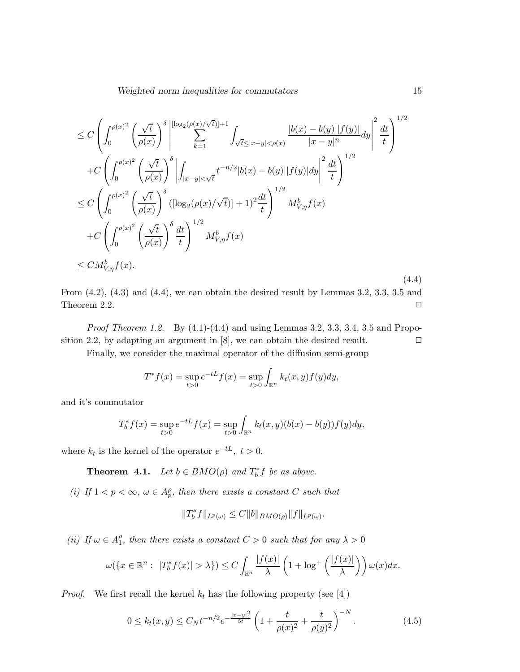$$
\leq C \left( \int_0^{\rho(x)^2} \left( \frac{\sqrt{t}}{\rho(x)} \right)^{\delta} \left| \sum_{k=1}^{\lfloor \log_2(\rho(x)/\sqrt{t}) \rfloor + 1} \int_{\sqrt{t} \leq |x - y| < \rho(x)} \frac{|b(x) - b(y)| |f(y)|}{|x - y|^n} dy \right|^2 \frac{dt}{t} \right)^{1/2} \n+ C \left( \int_0^{\rho(x)^2} \left( \frac{\sqrt{t}}{\rho(x)} \right)^{\delta} \left| \int_{|x - y| < \sqrt{t}} t^{-n/2} |b(x) - b(y)| |f(y)| dy \right|^2 \frac{dt}{t} \right)^{1/2} \n\leq C \left( \int_0^{\rho(x)^2} \left( \frac{\sqrt{t}}{\rho(x)} \right)^{\delta} \left( [\log_2(\rho(x)/\sqrt{t})] + 1 \right)^2 \frac{dt}{t} \right)^{1/2} M_{V, \eta}^b f(x) \n+ C \left( \int_0^{\rho(x)^2} \left( \frac{\sqrt{t}}{\rho(x)} \right)^{\delta} \frac{dt}{t} \right)^{1/2} M_{V, \eta}^b f(x) \n\leq C M_{V, \eta}^b f(x).
$$
\n(4.4)

From (4.2), (4.3) and (4.4), we can obtain the desired result by Lemmas 3.2, 3.3, 3.5 and Theorem 2.2.  $\Box$ 

*Proof Theorem 1.2.* By  $(4.1)-(4.4)$  and using Lemmas 3.2, 3.3, 3.4, 3.5 and Proposition 2.2, by adapting an argument in [8], we can obtain the desired result.  $\Box$ 

Finally, we consider the maximal operator of the diffusion semi-group

$$
T^* f(x) = \sup_{t>0} e^{-tL} f(x) = \sup_{t>0} \int_{\mathbb{R}^n} k_t(x, y) f(y) dy,
$$

and it's commutator

$$
T_b^* f(x) = \sup_{t>0} e^{-tL} f(x) = \sup_{t>0} \int_{\mathbb{R}^n} k_t(x, y) (b(x) - b(y)) f(y) dy,
$$

where  $k_t$  is the kernel of the operator  $e^{-tL}$ ,  $t > 0$ .

**Theorem 4.1.** Let  $b \in BMO(\rho)$  and  $T_b^*f$  be as above.

(i) If  $1 < p < \infty$ ,  $\omega \in A_p^{\rho}$ , then there exists a constant C such that

$$
||T_b^* f||_{L^p(\omega)} \leq C||b||_{BMO(\rho)}||f||_{L^p(\omega)}.
$$

(*ii*) If  $\omega \in A_1^{\rho}$  $_1^{\rho}$ , then there exists a constant  $C > 0$  such that for any  $\lambda > 0$ 

$$
\omega(\lbrace x \in \mathbb{R}^n : \ |T_b^* f(x)| > \lambda \rbrace) \leq C \int_{\mathbb{R}^n} \frac{|f(x)|}{\lambda} \left(1 + \log^+ \left(\frac{|f(x)|}{\lambda}\right)\right) \omega(x) dx.
$$

*Proof.* We first recall the kernel  $k_t$  has the following property (see [4])

$$
0 \le k_t(x, y) \le C_N t^{-n/2} e^{-\frac{|x-y|^2}{5t}} \left( 1 + \frac{t}{\rho(x)^2} + \frac{t}{\rho(y)^2} \right)^{-N}.
$$
 (4.5)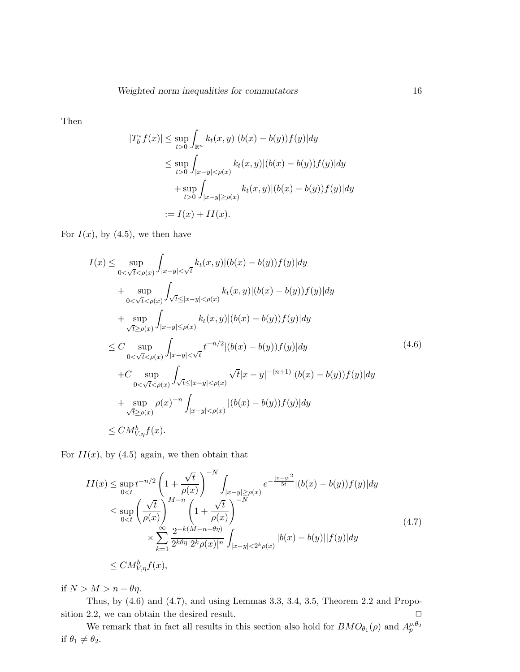Then

$$
|T_b^* f(x)| \le \sup_{t>0} \int_{\mathbb{R}^n} k_t(x, y) |(b(x) - b(y)) f(y)| dy
$$
  
\n
$$
\le \sup_{t>0} \int_{|x-y| < \rho(x)} k_t(x, y) |(b(x) - b(y)) f(y)| dy
$$
  
\n
$$
+ \sup_{t>0} \int_{|x-y| \ge \rho(x)} k_t(x, y) |(b(x) - b(y)) f(y)| dy
$$
  
\n
$$
:= I(x) + II(x).
$$

For  $I(x)$ , by (4.5), we then have

$$
I(x) \leq \sup_{0 < \sqrt{t} < \rho(x)} \int_{|x-y| < \sqrt{t}} k_t(x,y) |(b(x) - b(y)) f(y)| dy
$$
  
+ 
$$
\sup_{0 < \sqrt{t} < \rho(x)} \int_{\sqrt{t} \leq |x-y| < \rho(x)} k_t(x,y) |(b(x) - b(y)) f(y)| dy
$$
  
+ 
$$
\sup_{\sqrt{t} \geq \rho(x)} \int_{|x-y| \leq \rho(x)} k_t(x,y) |(b(x) - b(y)) f(y)| dy
$$
  

$$
\leq C \sup_{0 < \sqrt{t} < \rho(x)} \int_{|x-y| < \sqrt{t}} t^{-n/2} |(b(x) - b(y)) f(y)| dy
$$
  
+ 
$$
C \sup_{0 < \sqrt{t} < \rho(x)} \int_{\sqrt{t} \leq |x-y| < \rho(x)} \sqrt{t} |x-y|^{-(n+1)} |(b(x) - b(y)) f(y)| dy
$$
  
+ 
$$
\sup_{\sqrt{t} \geq \rho(x)} \rho(x)^{-n} \int_{|x-y| < \rho(x)} |(b(x) - b(y)) f(y)| dy
$$
  

$$
\leq C M_{V,\eta}^{b} f(x).
$$
 (4.6)

For  $II(x)$ , by (4.5) again, we then obtain that

$$
II(x) \le \sup_{0  
\n
$$
\le \sup_{0  
\n
$$
\times \sum_{k=1}^{\infty} \frac{2^{-k(M-n-\theta\eta)}}{2^{k\theta\eta} |2^k \rho(x)|^n} \int_{|x-y| < 2^k \rho(x)} |b(x) - b(y)| |f(y)| dy
$$
  
\n
$$
\le CM_{V,\eta}^b f(x), \qquad (4.7)
$$
$$
$$

if  $N > M > n + \theta \eta$ .

Thus, by (4.6) and (4.7), and using Lemmas 3.3, 3.4, 3.5, Theorem 2.2 and Proposition 2.2, we can obtain the desired result.  $\Box$ 

We remark that in fact all results in this section also hold for  $BMO_{\theta_1}(\rho)$  and  $A_p^{\rho,\theta_2}$ if  $\theta_1 \neq \theta_2$ .